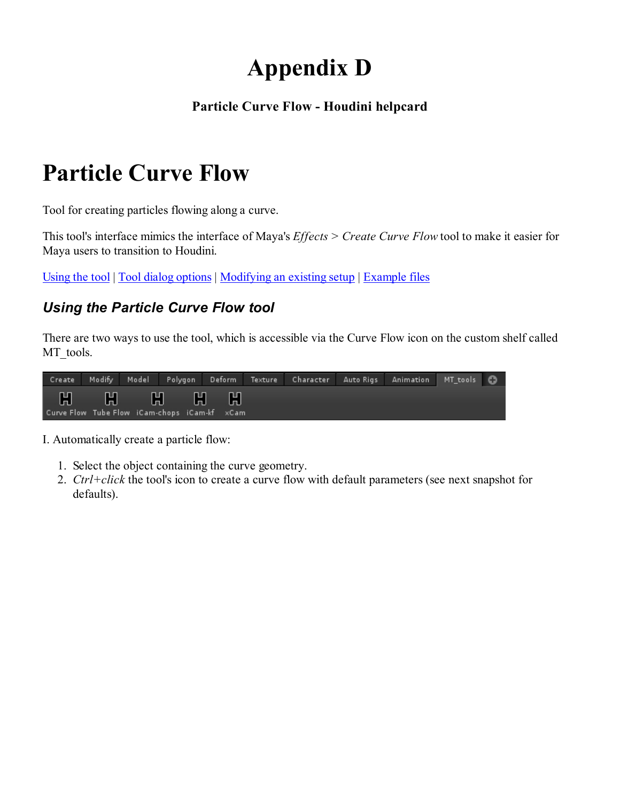# Appendix D

#### Particle Curve Flow - Houdini helpcard

# Particle Curve Flow

Tool for creating particles flowing along a curve.

This tool's interface mimics the interface of Maya's Effects > Create Curve Flow tool to make it easier for Maya users to transition to Houdini.

Using the tool | Tool dialog options | Modifying an existing setup | Example files

#### Using the Particle Curve Flow tool

There are two ways to use the tool, which is accessible via the Curve Flow icon on the custom shelf called MT\_tools.

|  |                                                           |  | Create Modify Model Polygon Deform Texture Character AutoRigs Animation MT_tools |  |  |
|--|-----------------------------------------------------------|--|----------------------------------------------------------------------------------|--|--|
|  | H H H H H<br>Curve Flow Tube Flow iCam-chops iCam-kf xCam |  |                                                                                  |  |  |

I. Automatically create a particle flow:

- 1. Select the object containing the curve geometry.
- 2. Ctrl+click the tool's icon to create a curve flow with default parameters (see next snapshot for defaults).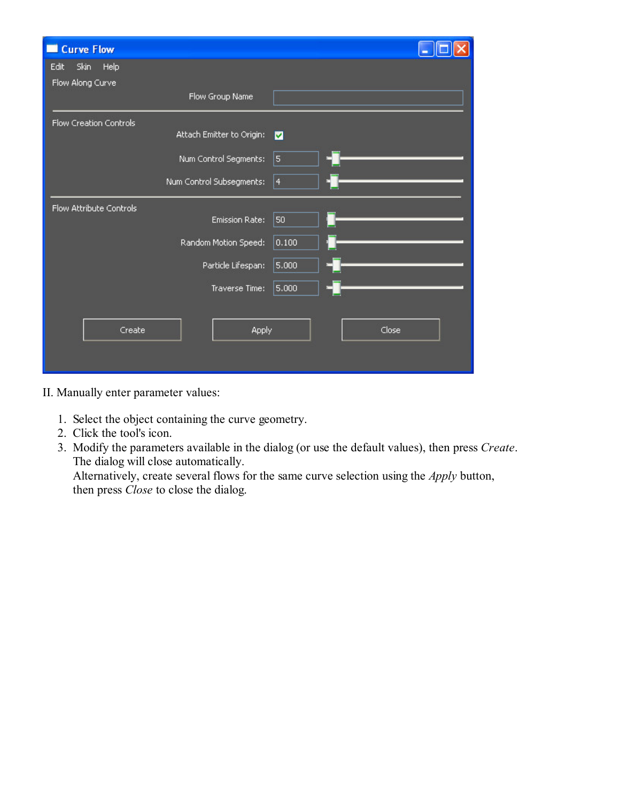| Curve Flow              |                           |           |  |
|-------------------------|---------------------------|-----------|--|
| Skin<br>Help<br>Edit    |                           |           |  |
| Flow Along Curve        |                           |           |  |
|                         | Flow Group Name           |           |  |
| Flow Creation Controls  |                           |           |  |
|                         | Attach Emitter to Origin: | M         |  |
|                         | Num Control Segments:     | 5         |  |
|                         | Num Control Subsegments:  | $\vert 4$ |  |
| Flow Attribute Controls |                           |           |  |
|                         | <b>Emission Rate:</b>     | 50        |  |
|                         | Random Motion Speed:      | 0.100     |  |
|                         | Particle Lifespan:        | 5.000     |  |
|                         | Traverse Time:            | 5.000     |  |
|                         |                           |           |  |
| Create                  | Apply                     | Close     |  |
|                         |                           |           |  |
|                         |                           |           |  |

II. Manually enter parameter values:

- 1. Select the object containing the curve geometry.
- 2. Click the tool's icon.
- 3. Modify the parameters available in the dialog (or use the default values), then press Create. The dialog will close automatically.

Alternatively, create several flows for the same curve selection using the Apply button, then press *Close* to close the dialog.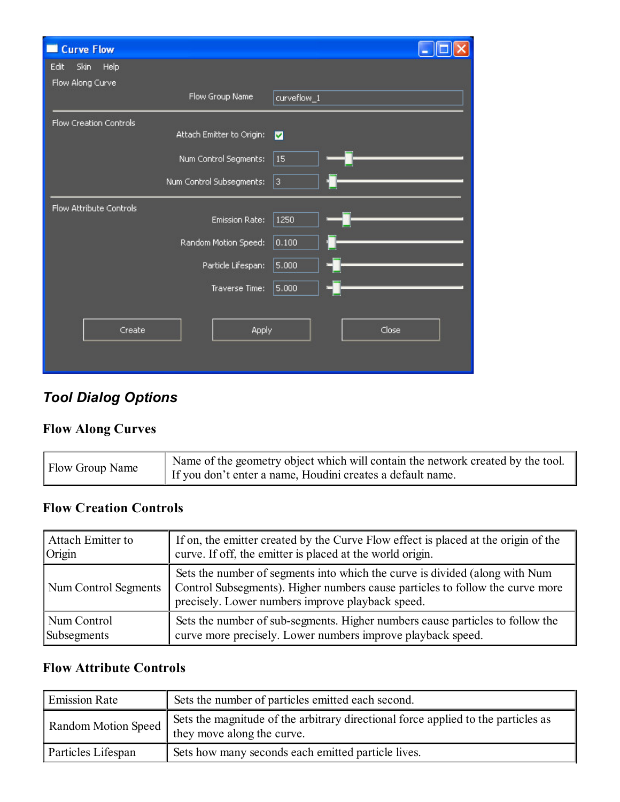| <b>Curve Flow</b><br>- 1 |                           |             |
|--------------------------|---------------------------|-------------|
| Skin<br>Help<br>Edit     |                           |             |
| Flow Along Curve         |                           |             |
|                          | Flow Group Name           | curveflow_1 |
| Flow Creation Controls   |                           |             |
|                          | Attach Emitter to Origin: | M           |
|                          | Num Control Segments:     | 15          |
|                          | Num Control Subsegments:  | 3           |
| Flow Attribute Controls  |                           |             |
|                          | <b>Emission Rate:</b>     | 1250        |
|                          | Random Motion Speed:      | 0.100       |
|                          | Particle Lifespan:        | 5.000       |
|                          | Traverse Time:            | 5,000       |
|                          |                           |             |
| Create                   | <b>Apply</b>              | Close       |
|                          |                           |             |

# Tool Dialog Options

#### Flow Along Curves

| <b>Flow Group Name</b> | Name of the geometry object which will contain the network created by the tool.<br>If you don't enter a name, Houdini creates a default name. |
|------------------------|-----------------------------------------------------------------------------------------------------------------------------------------------|
|                        |                                                                                                                                               |

#### Flow Creation Controls

| Attach Emitter to    | If on, the emitter created by the Curve Flow effect is placed at the origin of the                                                                                                                               |
|----------------------|------------------------------------------------------------------------------------------------------------------------------------------------------------------------------------------------------------------|
| Origin               | curve. If off, the emitter is placed at the world origin.                                                                                                                                                        |
| Num Control Segments | Sets the number of segments into which the curve is divided (along with Num<br>Control Subsegments). Higher numbers cause particles to follow the curve more<br>precisely. Lower numbers improve playback speed. |
| Num Control          | Sets the number of sub-segments. Higher numbers cause particles to follow the                                                                                                                                    |
| Subsegments          | curve more precisely. Lower numbers improve playback speed.                                                                                                                                                      |

#### Flow Attribute Controls

| <b>Emission Rate</b><br>Sets the number of particles emitted each second. |                                                                                                                 |
|---------------------------------------------------------------------------|-----------------------------------------------------------------------------------------------------------------|
| Random Motion Speed                                                       | Sets the magnitude of the arbitrary directional force applied to the particles as<br>they move along the curve. |
| Particles Lifespan                                                        | Sets how many seconds each emitted particle lives.                                                              |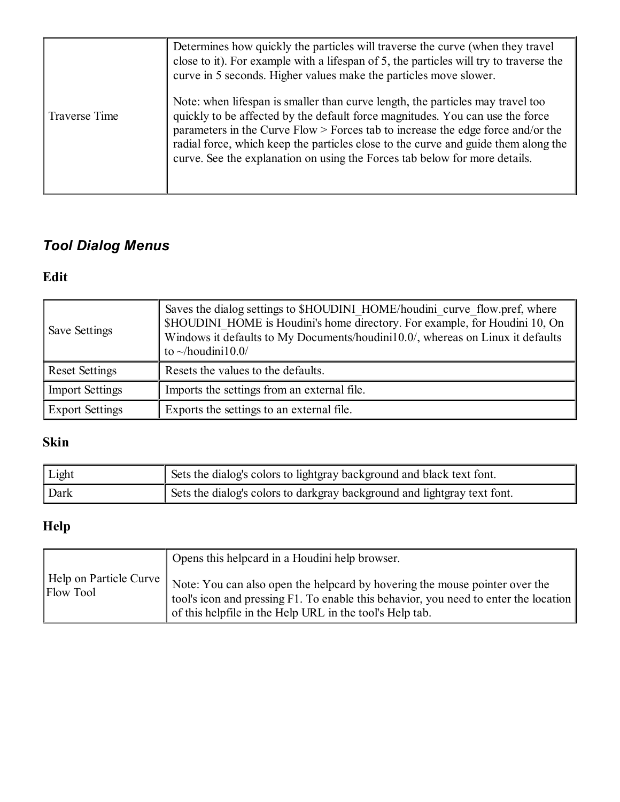|               | Determines how quickly the particles will traverse the curve (when they travel<br>close to it). For example with a lifespan of 5, the particles will try to traverse the<br>curve in 5 seconds. Higher values make the particles move slower.                                                                                                                                                                            |
|---------------|--------------------------------------------------------------------------------------------------------------------------------------------------------------------------------------------------------------------------------------------------------------------------------------------------------------------------------------------------------------------------------------------------------------------------|
| Traverse Time | Note: when lifespan is smaller than curve length, the particles may travel too<br>quickly to be affected by the default force magnitudes. You can use the force<br>parameters in the Curve $Flow$ > Forces tab to increase the edge force and/or the<br>radial force, which keep the particles close to the curve and guide them along the<br>curve. See the explanation on using the Forces tab below for more details. |

# Tool Dialog Menus

## Edit

| Save Settings          | Saves the dialog settings to \$HOUDINI HOME/houdini curve flow.pref, where<br>\$HOUDINI HOME is Houdini's home directory. For example, for Houdini 10, On<br>Windows it defaults to My Documents/houdini10.0/, whereas on Linux it defaults<br>to $\sim$ /houdini10.0/ |
|------------------------|------------------------------------------------------------------------------------------------------------------------------------------------------------------------------------------------------------------------------------------------------------------------|
| <b>Reset Settings</b>  | Resets the values to the defaults.                                                                                                                                                                                                                                     |
| <b>Import Settings</b> | Imports the settings from an external file.                                                                                                                                                                                                                            |
| <b>Export Settings</b> | Exports the settings to an external file.                                                                                                                                                                                                                              |

## Skin

| Light | 1 Sets the dialog's colors to lightgray background and black text font.  |
|-------|--------------------------------------------------------------------------|
| Dark  | Sets the dialog's colors to darkgray background and lightgray text font. |

# Help

|           | Opens this helpcard in a Houdini help browser.                                                                                                                                                                                                           |
|-----------|----------------------------------------------------------------------------------------------------------------------------------------------------------------------------------------------------------------------------------------------------------|
| Flow Tool | Help on Particle Curve   Note: You can also open the helpcard by hovering the mouse pointer over the<br>tool's icon and pressing F1. To enable this behavior, you need to enter the location<br>of this helpfile in the Help URL in the tool's Help tab. |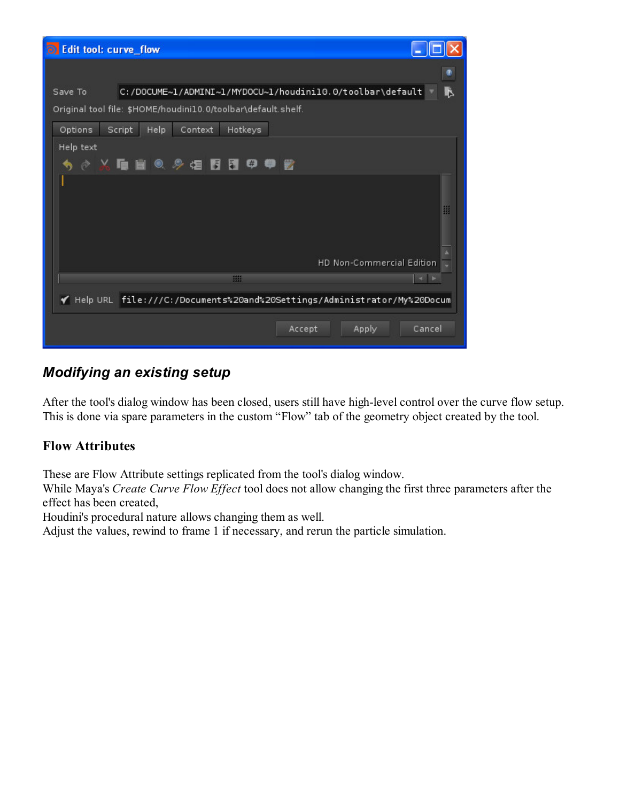| io Edit tool: curve_flow                                                  |  |  |  |  |  |
|---------------------------------------------------------------------------|--|--|--|--|--|
|                                                                           |  |  |  |  |  |
| B<br>C:/DOCUME~1/ADMINI~1/MYDOCU~1/houdini10.0/toolbar\default<br>Save To |  |  |  |  |  |
| Original tool file: \$HOME/houdini10.0/toolbar\default.shelf.             |  |  |  |  |  |
| Hotkeys<br>Options<br>Script<br>Help<br>Context                           |  |  |  |  |  |
| Help text                                                                 |  |  |  |  |  |
| #<br>◇丛中国◎夕俎同园<br>₩                                                       |  |  |  |  |  |
|                                                                           |  |  |  |  |  |
| 璽                                                                         |  |  |  |  |  |
|                                                                           |  |  |  |  |  |
|                                                                           |  |  |  |  |  |
| HD Non-Commercial Edition                                                 |  |  |  |  |  |
| 照<br>$-4$                                                                 |  |  |  |  |  |
| √ Help URL file:///C:/Documents%20and%20Settings/Administrator/My%20Docum |  |  |  |  |  |
| Cancel<br>Accept<br>Apply                                                 |  |  |  |  |  |

### Modifying an existing setup

After the tool's dialog window has been closed, users still have high-level control over the curve flow setup. This is done via spare parameters in the custom "Flow" tab of the geometry object created by the tool.

#### Flow Attributes

These are Flow Attribute settings replicated from the tool's dialog window.

While Maya's Create Curve Flow Effect tool does not allow changing the first three parameters after the effect has been created,

Houdini's procedural nature allows changing them as well.

Adjust the values, rewind to frame 1 if necessary, and rerun the particle simulation.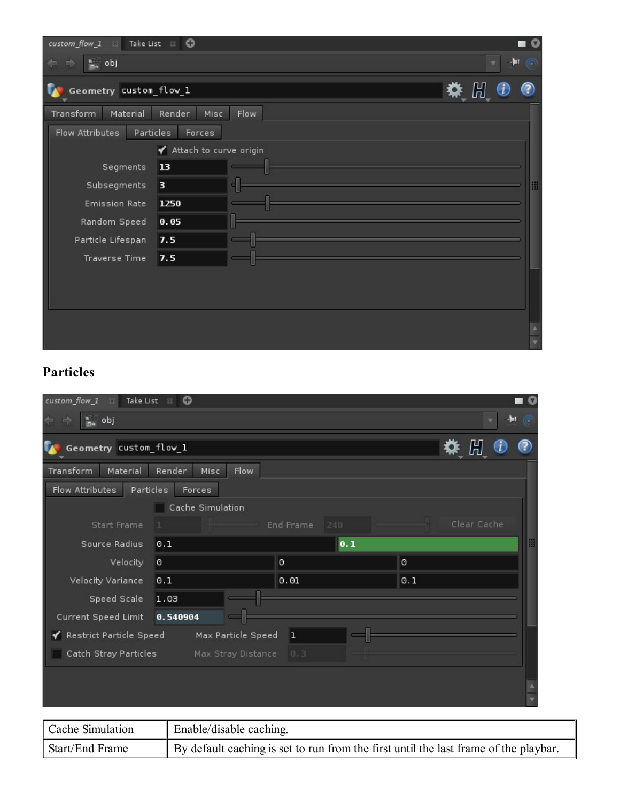| custom_flow_1<br>$-20$               | Take List 8<br>$\circ$   |      | $\circ$ |
|--------------------------------------|--------------------------|------|---------|
| $\frac{a}{m_0}$ obj<br>$\Rightarrow$ |                          | H    | œ       |
| Geometry custom_flow_1               |                          | ◆ 開  |         |
| Material<br><b>Transform</b>         | Misc<br>Render           | Flow |         |
| Flow Attributes                      | Particles<br>Forces      |      |         |
|                                      | ✔ Attach to curve origin |      |         |
| Segments                             | 13                       |      |         |
| Subsegments                          | з                        |      | 雦       |
| <b>Emission Rate</b>                 | 1250                     |      |         |
| Random Speed                         | 0.05                     |      |         |
| Particle Lifespan                    | 7.5                      |      |         |
| <b>Traverse Time</b>                 | 7.5                      |      |         |
|                                      |                          |      |         |
|                                      |                          |      |         |
|                                      |                          |      |         |
|                                      |                          |      |         |
|                                      |                          |      |         |

# Particles

| custom_flow_1<br>Take List 8 0<br>效。               |                         |                  |             |  |
|----------------------------------------------------|-------------------------|------------------|-------------|--|
| $\frac{a}{m_n}$ obj<br>nd)                         | ы                       |                  |             |  |
| Geometry custom_flow_1                             | 禁 開                     |                  |             |  |
| Material<br>Transform<br>Render<br>Flow<br>Misc    |                         |                  |             |  |
| Flow Attributes<br>Particles                       | Forces                  |                  |             |  |
|                                                    | Cache Simulation        |                  |             |  |
| Start Frame                                        |                         | End Frame<br>240 | Clear Cache |  |
| Source Radius                                      | 0.1                     | 0.1              |             |  |
| Velocity<br>o                                      |                         | O                | 0           |  |
| Velocity Variance                                  | 0.1                     | 0.01             | 0.1         |  |
| Speed Scale                                        | 1.03                    |                  |             |  |
| Current Speed Limit                                | 0.540904                |                  |             |  |
| ✔ Restrict Particle Speed                          | Max Particle Speed      | 1                |             |  |
| Catch Stray Particles<br>Max Stray Distance<br>0.3 |                         |                  |             |  |
|                                                    |                         |                  |             |  |
|                                                    |                         |                  |             |  |
|                                                    |                         |                  |             |  |
| Cache Simulation                                   | Enable/disable caching. |                  |             |  |

| Start/End Frame  | By default caching is set to run from the first until the last frame of the playbar. |
|------------------|--------------------------------------------------------------------------------------|
| Cache Simulation | $\parallel$ Enable/disable caching.                                                  |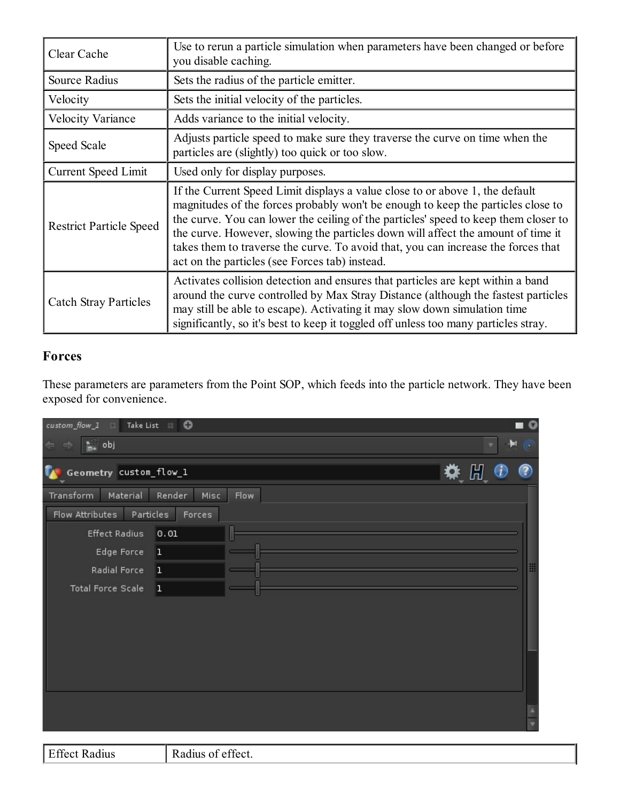| Clear Cache                    | Use to rerun a particle simulation when parameters have been changed or before<br>you disable caching.                                                                                                                                                                                                                                                                                                                                                                             |  |  |
|--------------------------------|------------------------------------------------------------------------------------------------------------------------------------------------------------------------------------------------------------------------------------------------------------------------------------------------------------------------------------------------------------------------------------------------------------------------------------------------------------------------------------|--|--|
| Source Radius                  | Sets the radius of the particle emitter.                                                                                                                                                                                                                                                                                                                                                                                                                                           |  |  |
| Velocity                       | Sets the initial velocity of the particles.                                                                                                                                                                                                                                                                                                                                                                                                                                        |  |  |
| <b>Velocity Variance</b>       | Adds variance to the initial velocity.                                                                                                                                                                                                                                                                                                                                                                                                                                             |  |  |
| Speed Scale                    | Adjusts particle speed to make sure they traverse the curve on time when the<br>particles are (slightly) too quick or too slow.                                                                                                                                                                                                                                                                                                                                                    |  |  |
| <b>Current Speed Limit</b>     | Used only for display purposes.                                                                                                                                                                                                                                                                                                                                                                                                                                                    |  |  |
| <b>Restrict Particle Speed</b> | If the Current Speed Limit displays a value close to or above 1, the default<br>magnitudes of the forces probably won't be enough to keep the particles close to<br>the curve. You can lower the ceiling of the particles' speed to keep them closer to<br>the curve. However, slowing the particles down will affect the amount of time it<br>takes them to traverse the curve. To avoid that, you can increase the forces that<br>act on the particles (see Forces tab) instead. |  |  |
| <b>Catch Stray Particles</b>   | Activates collision detection and ensures that particles are kept within a band<br>around the curve controlled by Max Stray Distance (although the fastest particles<br>may still be able to escape). Activating it may slow down simulation time<br>significantly, so it's best to keep it toggled off unless too many particles stray.                                                                                                                                           |  |  |

#### Forces

These parameters are parameters from the Point SOP, which feeds into the particle network. They have been exposed for convenience.

| $\textit{custom\_flow\_1}$<br>$-28$                | Take List 88           |           | $\circ$ |
|----------------------------------------------------|------------------------|-----------|---------|
| $\frac{a}{m}$ obj<br>$\Leftarrow$<br>$\Rightarrow$ |                        | $H \odot$ |         |
| Geometry custom_flow_1                             |                        | 桊 間       | ?       |
| Material<br>Transform                              | Misc<br>Flow<br>Render |           |         |
| Flow Attributes                                    | Particles<br>Forces    |           |         |
| <b>Effect Radius</b>                               | 0.01                   |           |         |
| Edge Force                                         | 1                      |           |         |
| Radial Force                                       | 1                      |           | 翼       |
| <b>Total Force Scale</b>                           | 1                      |           |         |
|                                                    |                        |           |         |
|                                                    |                        |           |         |
|                                                    |                        |           |         |
|                                                    |                        |           |         |
|                                                    |                        |           |         |
|                                                    |                        |           |         |
|                                                    |                        |           |         |
|                                                    |                        |           |         |

Effect Radius Radius of effect.